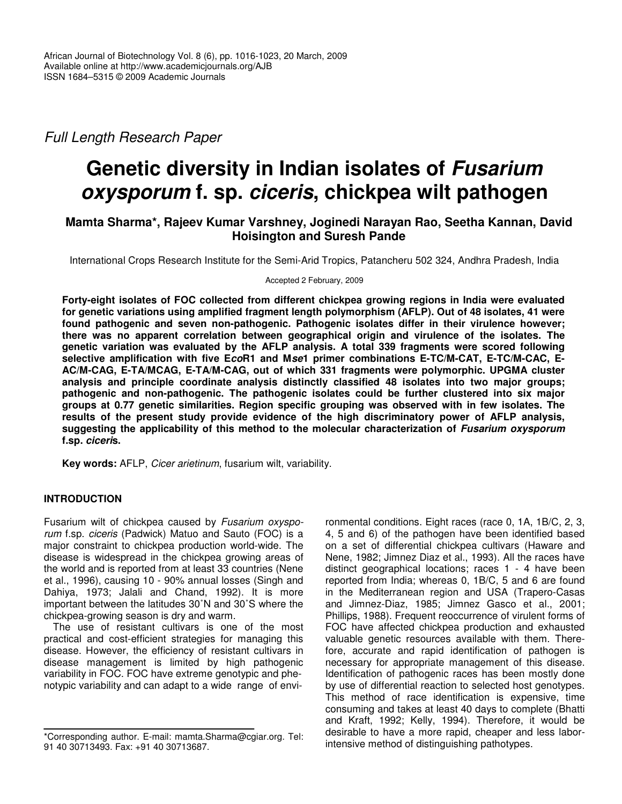*Full Length Research Paper*

# **Genetic diversity in Indian isolates of** *Fusarium oxysporum* **f. sp.** *ciceris***, chickpea wilt pathogen**

# **Mamta Sharma\*, Rajeev Kumar Varshney, Joginedi Narayan Rao, Seetha Kannan, David Hoisington and Suresh Pande**

International Crops Research Institute for the Semi-Arid Tropics, Patancheru 502 324, Andhra Pradesh, India

Accepted 2 February, 2009

**Forty-eight isolates of FOC collected from different chickpea growing regions in India were evaluated for genetic variations using amplified fragment length polymorphism (AFLP). Out of 48 isolates, 41 were found pathogenic and seven non-pathogenic. Pathogenic isolates differ in their virulence however; there was no apparent correlation between geographical origin and virulence of the isolates. The genetic variation was evaluated by the AFLP analysis. A total 339 fragments were scored following selective amplification with five E***co***R1 and M***se***1 primer combinations E-TC/M-CAT, E-TC/M-CAC, E-AC/M-CAG, E-TA/MCAG, E-TA/M-CAG, out of which 331 fragments were polymorphic. UPGMA cluster analysis and principle coordinate analysis distinctly classified 48 isolates into two major groups; pathogenic and non-pathogenic. The pathogenic isolates could be further clustered into six major groups at 0.77 genetic similarities. Region specific grouping was observed with in few isolates. The results of the present study provide evidence of the high discriminatory power of AFLP analysis, suggesting the applicability of this method to the molecular characterization of** *Fusarium oxysporum* **f.sp.** *ciceri***s.**

**Key words:** AFLP, *Cicer arietinum*, fusarium wilt, variability.

# **INTRODUCTION**

Fusarium wilt of chickpea caused by *Fusarium oxysporum* f.sp. *ciceris* (Padwick) Matuo and Sauto (FOC) is a major constraint to chickpea production world-wide. The disease is widespread in the chickpea growing areas of the world and is reported from at least 33 countries (Nene et al., 1996), causing 10 - 90% annual losses (Singh and Dahiya, 1973; Jalali and Chand, 1992). It is more important between the latitudes 30˚N and 30˚S where the chickpea-growing season is dry and warm.

The use of resistant cultivars is one of the most practical and cost-efficient strategies for managing this disease. However, the efficiency of resistant cultivars in disease management is limited by high pathogenic variability in FOC. FOC have extreme genotypic and phenotypic variability and can adapt to a wide range of envi-

ronmental conditions. Eight races (race 0, 1A, 1B/C, 2, 3, 4, 5 and 6) of the pathogen have been identified based on a set of differential chickpea cultivars (Haware and Nene, 1982; Jimnez Diaz et al., 1993). All the races have distinct geographical locations; races 1 - 4 have been reported from India; whereas 0, 1B/C, 5 and 6 are found in the Mediterranean region and USA (Trapero-Casas and Jimnez-Diaz, 1985; Jimnez Gasco et al., 2001; Phillips, 1988). Frequent reoccurrence of virulent forms of FOC have affected chickpea production and exhausted valuable genetic resources available with them. Therefore, accurate and rapid identification of pathogen is necessary for appropriate management of this disease. Identification of pathogenic races has been mostly done by use of differential reaction to selected host genotypes. This method of race identification is expensive, time consuming and takes at least 40 days to complete (Bhatti and Kraft, 1992; Kelly, 1994). Therefore, it would be desirable to have a more rapid, cheaper and less laborintensive method of distinguishing pathotypes.

<sup>\*</sup>Corresponding author. E-mail: mamta.Sharma@cgiar.org. Tel: 91 40 30713493. Fax: +91 40 30713687.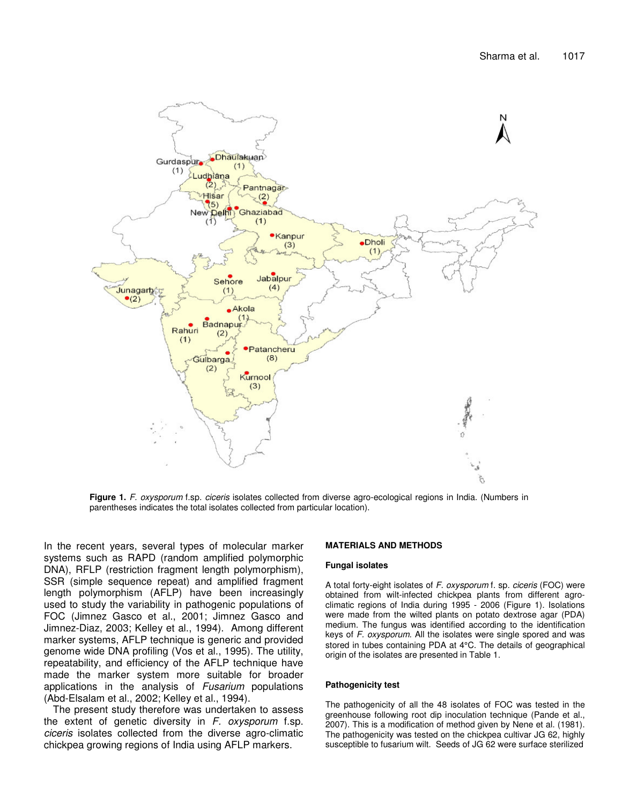

**Figure 1.** *F. oxysporum* f.sp. *ciceris* isolates collected from diverse agro-ecological regions in India. (Numbers in parentheses indicates the total isolates collected from particular location).

In the recent years, several types of molecular marker systems such as RAPD (random amplified polymorphic DNA), RFLP (restriction fragment length polymorphism), SSR (simple sequence repeat) and amplified fragment length polymorphism (AFLP) have been increasingly used to study the variability in pathogenic populations of FOC (Jimnez Gasco et al., 2001; Jimnez Gasco and Jimnez-Diaz, 2003; Kelley et al., 1994). Among different marker systems, AFLP technique is generic and provided genome wide DNA profiling (Vos et al., 1995). The utility, repeatability, and efficiency of the AFLP technique have made the marker system more suitable for broader applications in the analysis of *Fusarium* populations (Abd-Elsalam et al., 2002; Kelley et al., 1994).

The present study therefore was undertaken to assess the extent of genetic diversity in *F. oxysporum* f.sp. *ciceris* isolates collected from the diverse agro-climatic chickpea growing regions of India using AFLP markers.

#### **MATERIALS AND METHODS**

#### **Fungal isolates**

A total forty-eight isolates of *F. oxysporum* f. sp*. ciceris* (FOC) were obtained from wilt-infected chickpea plants from different agroclimatic regions of India during 1995 - 2006 (Figure 1). Isolations were made from the wilted plants on potato dextrose agar (PDA) medium. The fungus was identified according to the identification keys of *F. oxysporum.* All the isolates were single spored and was stored in tubes containing PDA at 4°C. The details of geographical origin of the isolates are presented in Table 1.

#### **Pathogenicity test**

The pathogenicity of all the 48 isolates of FOC was tested in the greenhouse following root dip inoculation technique (Pande et al., 2007). This is a modification of method given by Nene et al. (1981). The pathogenicity was tested on the chickpea cultivar JG 62, highly susceptible to fusarium wilt. Seeds of JG 62 were surface sterilized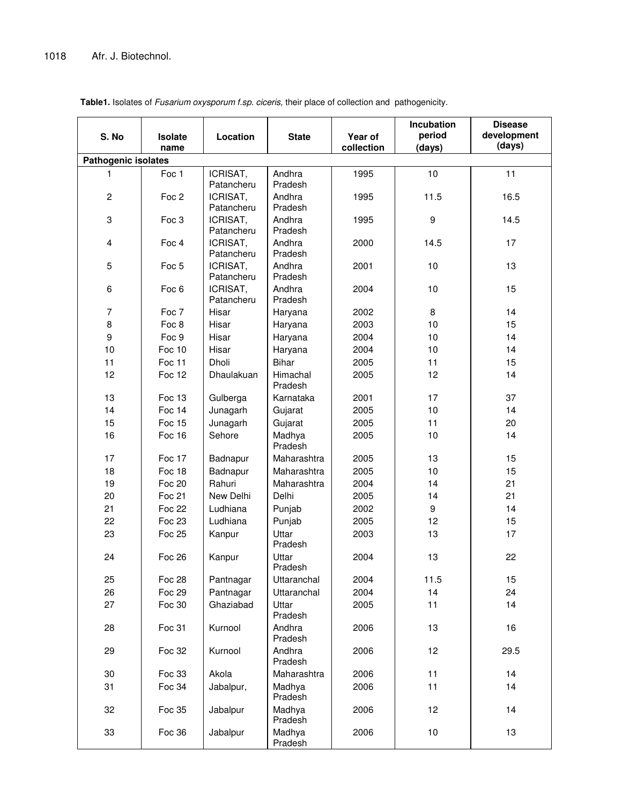|                            |               |                        |                     |            | Incubation | <b>Disease</b> |
|----------------------------|---------------|------------------------|---------------------|------------|------------|----------------|
| S. No                      | Isolate       | Location               | <b>State</b>        | Year of    | period     | development    |
|                            | name          |                        |                     | collection | (days)     | (days)         |
| <b>Pathogenic isolates</b> |               |                        |                     |            |            |                |
| 1                          | Foc 1         | ICRISAT,<br>Patancheru | Andhra<br>Pradesh   | 1995       | 10         | 11             |
| $\overline{2}$             | Foc 2         | ICRISAT,<br>Patancheru | Andhra<br>Pradesh   | 1995       | 11.5       | 16.5           |
| 3                          | Foc 3         | ICRISAT,<br>Patancheru | Andhra<br>Pradesh   | 1995       | 9          | 14.5           |
| $\overline{\mathbf{4}}$    | Foc 4         | ICRISAT,<br>Patancheru | Andhra<br>Pradesh   | 2000       | 14.5       | 17             |
| 5                          | Foc 5         | ICRISAT,<br>Patancheru | Andhra<br>Pradesh   | 2001       | 10         | 13             |
| 6                          | Foc 6         | ICRISAT,<br>Patancheru | Andhra<br>Pradesh   | 2004       | 10         | 15             |
| $\overline{7}$             | Foc 7         | Hisar                  | Haryana             | 2002       | 8          | 14             |
| 8                          | Foc 8         | Hisar                  | Haryana             | 2003       | 10         | 15             |
| 9                          | Foc 9         | Hisar                  | Haryana             | 2004       | 10         | 14             |
| 10                         | Foc 10        | Hisar                  | Haryana             | 2004       | 10         | 14             |
| 11                         | Foc 11        | Dholi                  | <b>Bihar</b>        | 2005       | 11         | 15             |
| 12                         | Foc 12        | Dhaulakuan             | Himachal<br>Pradesh | 2005       | 12         | 14             |
| 13                         | Foc 13        | Gulberga               | Karnataka           | 2001       | 17         | 37             |
| 14                         | Foc 14        | Junagarh               | Gujarat             | 2005       | 10         | 14             |
| 15                         | Foc 15        | Junagarh               | Gujarat             | 2005       | 11         | 20             |
| 16                         | Foc 16        | Sehore                 | Madhya<br>Pradesh   | 2005       | 10         | 14             |
| 17                         | Foc 17        | Badnapur               | Maharashtra         | 2005       | 13         | 15             |
| 18                         | Foc 18        | Badnapur               | Maharashtra         | 2005       | 10         | 15             |
| 19                         | <b>Foc 20</b> | Rahuri                 | Maharashtra         | 2004       | 14         | 21             |
| 20                         | Foc 21        | New Delhi              | Delhi               | 2005       | 14         | 21             |
| 21                         | <b>Foc 22</b> | Ludhiana               | Punjab              | 2002       | 9          | 14             |
| 22                         | Foc 23        | Ludhiana               | Punjab              | 2005       | 12         | 15             |
| 23                         | <b>Foc 25</b> | Kanpur                 | Uttar<br>Pradesh    | 2003       | 13         | 17             |
| 24                         | <b>Foc 26</b> | Kanpur                 | Uttar<br>Pradesh    | 2004       | 13         | 22             |
| 25                         | <b>Foc 28</b> | Pantnagar              | Uttaranchal         | 2004       | 11.5       | 15             |
| 26                         | Foc 29        | Pantnagar              | Uttaranchal         | 2004       | 14         | 24             |
| 27                         | Foc 30        | Ghaziabad              | Uttar<br>Pradesh    | 2005       | 11         | 14             |
| 28                         | Foc 31        | Kurnool                | Andhra<br>Pradesh   | 2006       | 13         | 16             |
| 29                         | Foc 32        | Kurnool                | Andhra<br>Pradesh   | 2006       | 12         | 29.5           |
| 30                         | Foc 33        | Akola                  | Maharashtra         | 2006       | 11         | 14             |
| 31                         | Foc 34        | Jabalpur,              | Madhya<br>Pradesh   | 2006       | 11         | 14             |
| 32                         | Foc 35        | Jabalpur               | Madhya<br>Pradesh   | 2006       | 12         | 14             |
| 33                         | Foc 36        | Jabalpur               | Madhya<br>Pradesh   | 2006       | 10         | 13             |

**Table1.** Isolates of *Fusarium oxysporum f.sp. ciceris,* their place of collection and pathogenicity.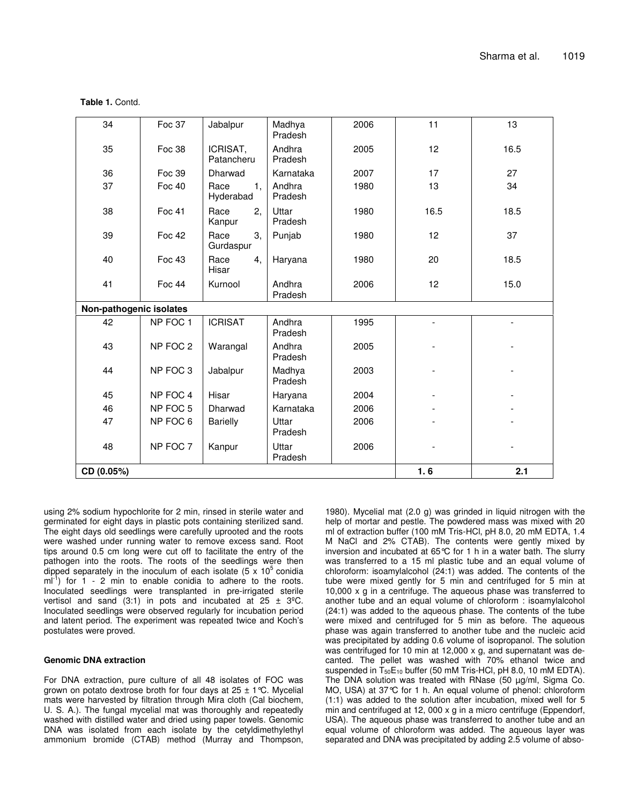**Table 1.** Contd.

| 34                      | Foc 37        | Jabalpur                | Madhya<br>Pradesh | 2006 | 11   | 13   |  |
|-------------------------|---------------|-------------------------|-------------------|------|------|------|--|
| 35                      | Foc 38        | ICRISAT,<br>Patancheru  | Andhra<br>Pradesh | 2005 | 12   | 16.5 |  |
| 36                      | Foc 39        | Dharwad                 | Karnataka         | 2007 | 17   | 27   |  |
| 37                      | <b>Foc 40</b> | Race<br>1.<br>Hyderabad | Andhra<br>Pradesh | 1980 | 13   | 34   |  |
| 38                      | Foc 41        | Race<br>2,<br>Kanpur    | Uttar<br>Pradesh  | 1980 | 16.5 | 18.5 |  |
| 39                      | <b>Foc 42</b> | 3,<br>Race<br>Gurdaspur | Punjab            | 1980 | 12   | 37   |  |
| 40                      | Foc 43        | Race<br>4,<br>Hisar     | Haryana           | 1980 | 20   | 18.5 |  |
| 41                      | Foc 44        | Kurnool                 | Andhra<br>Pradesh | 2006 | 12   | 15.0 |  |
| Non-pathogenic isolates |               |                         |                   |      |      |      |  |
| 42                      | NP FOC 1      | <b>ICRISAT</b>          | Andhra<br>Pradesh | 1995 |      |      |  |
| 43                      | NP FOC 2      | Warangal                | Andhra<br>Pradesh | 2005 |      |      |  |
| 44                      | NP FOC 3      | Jabalpur                | Madhya<br>Pradesh | 2003 |      |      |  |
| 45                      | NP FOC 4      | Hisar                   | Haryana           | 2004 |      |      |  |
| 46                      | NP FOC 5      | Dharwad                 | Karnataka         | 2006 |      |      |  |
| 47                      | NP FOC 6      | <b>Barielly</b>         | Uttar<br>Pradesh  | 2006 |      |      |  |
| 48                      | NP FOC 7      | Kanpur                  | Uttar<br>Pradesh  | 2006 |      |      |  |
| CD (0.05%)              |               |                         |                   |      | 1.6  | 2.1  |  |

using 2% sodium hypochlorite for 2 min, rinsed in sterile water and germinated for eight days in plastic pots containing sterilized sand. The eight days old seedlings were carefully uprooted and the roots were washed under running water to remove excess sand. Root tips around 0.5 cm long were cut off to facilitate the entry of the pathogen into the roots. The roots of the seedlings were then dipped separately in the inoculum of each isolate (5 x 10<sup>5</sup> conidia  $ml^{-1}$ ) for 1 - 2 min to enable conidia to adhere to the roots. Inoculated seedlings were transplanted in pre-irrigated sterile vertisol and sand (3:1) in pots and incubated at  $25 \pm 3^{\circ}$ C. Inoculated seedlings were observed regularly for incubation period and latent period. The experiment was repeated twice and Koch's postulates were proved.

#### **Genomic DNA extraction**

For DNA extraction, pure culture of all 48 isolates of FOC was grown on potato dextrose broth for four days at  $25 \pm 1^{\circ}$ C. Mycelial mats were harvested by filtration through Mira cloth (Cal biochem, U. S. A.). The fungal mycelial mat was thoroughly and repeatedly washed with distilled water and dried using paper towels. Genomic DNA was isolated from each isolate by the cetyldimethylethyl ammonium bromide (CTAB) method (Murray and Thompson,

1980). Mycelial mat (2.0 g) was grinded in liquid nitrogen with the help of mortar and pestle. The powdered mass was mixed with 20 ml of extraction buffer (100 mM Tris-HCl, pH 8.0, 20 mM EDTA, 1.4 M NaCl and 2% CTAB). The contents were gently mixed by inversion and incubated at 65°C for 1 h in a water bath. The slurry was transferred to a 15 ml plastic tube and an equal volume of chloroform: isoamylalcohol (24:1) was added. The contents of the tube were mixed gently for 5 min and centrifuged for 5 min at 10,000 x g in a centrifuge. The aqueous phase was transferred to another tube and an equal volume of chloroform : isoamylalcohol (24:1) was added to the aqueous phase. The contents of the tube were mixed and centrifuged for 5 min as before. The aqueous phase was again transferred to another tube and the nucleic acid was precipitated by adding 0.6 volume of isopropanol. The solution was centrifuged for 10 min at 12,000 x g, and supernatant was decanted. The pellet was washed with 70% ethanol twice and suspended in  $T_{50}E_{10}$  buffer (50 mM Tris-HCl, pH 8.0, 10 mM EDTA). The DNA solution was treated with RNase (50 µg/ml, Sigma Co. MO, USA) at 37°C for 1 h. An equal volume of phenol: chloroform (1:1) was added to the solution after incubation, mixed well for 5 min and centrifuged at 12, 000 x g in a micro centrifuge (Eppendorf, USA). The aqueous phase was transferred to another tube and an equal volume of chloroform was added. The aqueous layer was separated and DNA was precipitated by adding 2.5 volume of abso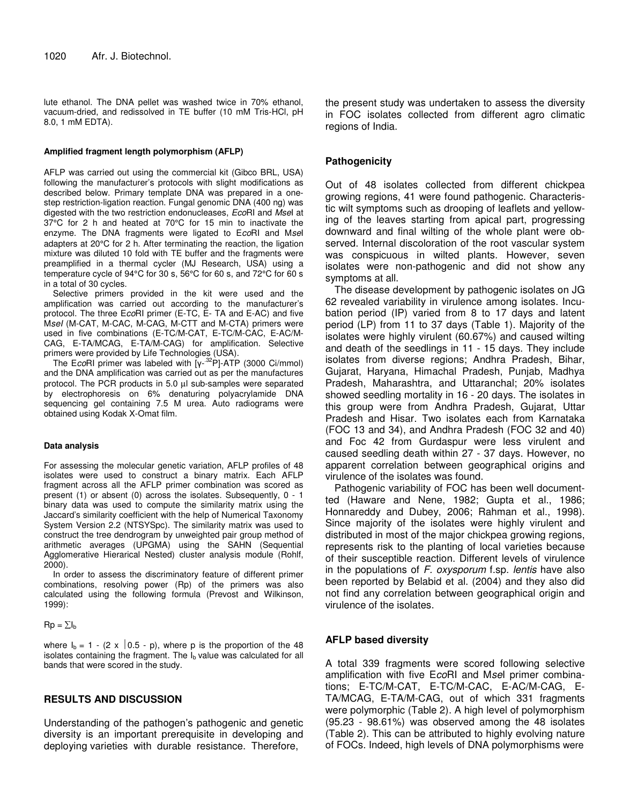lute ethanol. The DNA pellet was washed twice in 70% ethanol, vacuum-dried, and redissolved in TE buffer (10 mM Tris-HCl, pH 8.0, 1 mM EDTA).

#### **Amplified fragment length polymorphism (AFLP)**

AFLP was carried out using the commercial kit (Gibco BRL, USA) following the manufacturer's protocols with slight modifications as described below. Primary template DNA was prepared in a onestep restriction-ligation reaction. Fungal genomic DNA (400 ng) was digested with the two restriction endonucleases, *Eco*RI and *Mse*I at 37°C for 2 h and heated at 70°C for 15 min to inactivate the enzyme. The DNA fragments were ligated to E*co*RI and M*se*I adapters at 20°C for 2 h. After terminating the reaction, the ligation mixture was diluted 10 fold with TE buffer and the fragments were preamplified in a thermal cycler (MJ Research, USA) using a temperature cycle of 94°C for 30 s, 56°C for 60 s, and 72°C for 60 s in a total of 30 cycles.

Selective primers provided in the kit were used and the amplification was carried out according to the manufacturer's protocol. The three E*co*RI primer (E-TC, E- TA and E-AC) and five M*seI* (M-CAT, M-CAC, M-CAG, M-CTT and M-CTA) primers were used in five combinations (E-TC/M-CAT, E-TC/M-CAC, E-AC/M-CAG, E-TA/MCAG, E-TA/M-CAG) for amplification. Selective primers were provided by Life Technologies (USA).

The EcoRI primer was labeled with [y-<sup>32</sup>P]-ATP (3000 Ci/mmol) and the DNA amplification was carried out as per the manufactures protocol. The PCR products in 5.0 µl sub-samples were separated by electrophoresis on 6% denaturing polyacrylamide DNA sequencing gel containing 7.5 M urea. Auto radiograms were obtained using Kodak X-Omat film.

#### **Data analysis**

For assessing the molecular genetic variation, AFLP profiles of 48 isolates were used to construct a binary matrix. Each AFLP fragment across all the AFLP primer combination was scored as present (1) or absent (0) across the isolates. Subsequently, 0 - 1 binary data was used to compute the similarity matrix using the Jaccard's similarity coefficient with the help of Numerical Taxonomy System Version 2.2 (NTSYSpc). The similarity matrix was used to construct the tree dendrogram by unweighted pair group method of arithmetic averages (UPGMA) using the SAHN (Sequential Agglomerative Hierarical Nested) cluster analysis module (Rohlf, 2000).

In order to assess the discriminatory feature of different primer combinations, resolving power (Rp) of the primers was also calculated using the following formula (Prevost and Wilkinson, 1999):

## $Rp = \sum I_b$

where  $I_b = 1 - (2 \times 0.5 - p)$ , where p is the proportion of the 48 isolates containing the fragment. The  $I<sub>b</sub>$  value was calculated for all bands that were scored in the study.

## **RESULTS AND DISCUSSION**

Understanding of the pathogen's pathogenic and genetic diversity is an important prerequisite in developing and deploying varieties with durable resistance. Therefore,

the present study was undertaken to assess the diversity in FOC isolates collected from different agro climatic regions of India.

# **Pathogenicity**

Out of 48 isolates collected from different chickpea growing regions, 41 were found pathogenic. Characteristic wilt symptoms such as drooping of leaflets and yellowing of the leaves starting from apical part, progressing downward and final wilting of the whole plant were observed. Internal discoloration of the root vascular system was conspicuous in wilted plants. However, seven isolates were non-pathogenic and did not show any symptoms at all.

The disease development by pathogenic isolates on JG 62 revealed variability in virulence among isolates. Incubation period (IP) varied from 8 to 17 days and latent period (LP) from 11 to 37 days (Table 1). Majority of the isolates were highly virulent (60.67%) and caused wilting and death of the seedlings in 11 - 15 days. They include isolates from diverse regions; Andhra Pradesh, Bihar, Gujarat, Haryana, Himachal Pradesh, Punjab, Madhya Pradesh, Maharashtra, and Uttaranchal; 20% isolates showed seedling mortality in 16 - 20 days. The isolates in this group were from Andhra Pradesh, Gujarat, Uttar Pradesh and Hisar. Two isolates each from Karnataka (FOC 13 and 34), and Andhra Pradesh (FOC 32 and 40) and Foc 42 from Gurdaspur were less virulent and caused seedling death within 27 - 37 days. However, no apparent correlation between geographical origins and virulence of the isolates was found.

Pathogenic variability of FOC has been well documentted (Haware and Nene, 1982; Gupta et al., 1986; Honnareddy and Dubey, 2006; Rahman et al., 1998). Since majority of the isolates were highly virulent and distributed in most of the major chickpea growing regions, represents risk to the planting of local varieties because of their susceptible reaction. Different levels of virulence in the populations of *F. oxysporum* f.sp. *lentis* have also been reported by Belabid et al. (2004) and they also did not find any correlation between geographical origin and virulence of the isolates.

# **AFLP based diversity**

A total 339 fragments were scored following selective amplification with five E*co*RI and M*se*I primer combinations; E-TC/M-CAT, E-TC/M-CAC, E-AC/M-CAG, E-TA/MCAG, E-TA/M-CAG, out of which 331 fragments were polymorphic (Table 2). A high level of polymorphism (95.23 - 98.61%) was observed among the 48 isolates (Table 2). This can be attributed to highly evolving nature of FOCs. Indeed, high levels of DNA polymorphisms were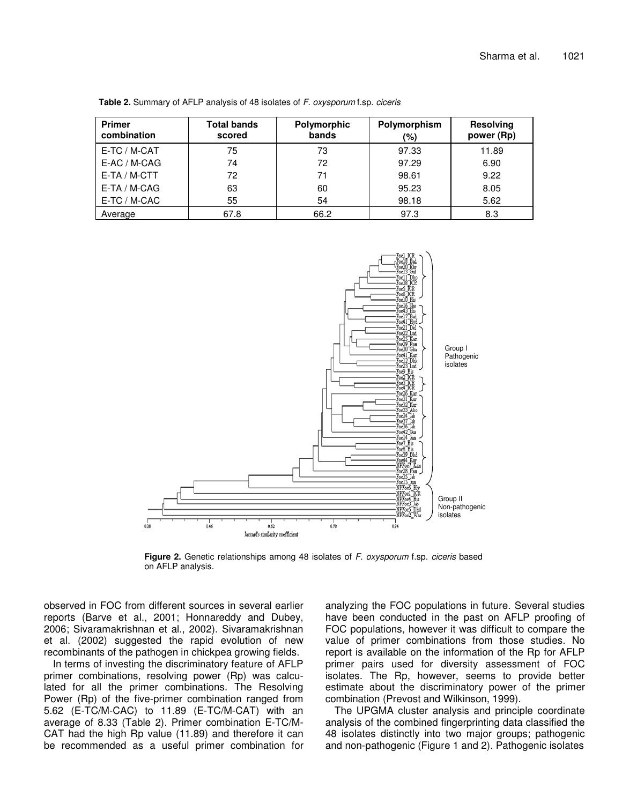| <b>Primer</b><br>combination | <b>Total bands</b><br>scored | Polymorphic<br>bands | Polymorphism<br>(%) | <b>Resolving</b><br>power (Rp) |
|------------------------------|------------------------------|----------------------|---------------------|--------------------------------|
| E-TC / M-CAT                 | 75                           | 73                   | 97.33               | 11.89                          |
| E-AC / M-CAG                 | 74                           | 72                   | 97.29               | 6.90                           |
| E-TA / M-CTT                 | 72                           | 71                   | 98.61               | 9.22                           |
| E-TA / M-CAG                 | 63                           | 60                   | 95.23               | 8.05                           |
| E-TC / M-CAC                 | 55                           | 54                   | 98.18               | 5.62                           |
| Average                      | 67.8                         | 66.2                 | 97.3                | 8.3                            |

**Table 2.** Summary of AFLP analysis of 48 isolates of *F. oxysporum* f.sp. *ciceris*



**Figure 2.** Genetic relationships among 48 isolates of *F. oxysporum* f.sp. *ciceris* based on AFLP analysis.

observed in FOC from different sources in several earlier reports (Barve et al., 2001; Honnareddy and Dubey, 2006; Sivaramakrishnan et al., 2002). Sivaramakrishnan et al. (2002) suggested the rapid evolution of new recombinants of the pathogen in chickpea growing fields.

In terms of investing the discriminatory feature of AFLP primer combinations, resolving power (Rp) was calculated for all the primer combinations. The Resolving Power (Rp) of the five-primer combination ranged from 5.62 (E-TC/M-CAC) to 11.89 (E-TC/M-CAT) with an average of 8.33 (Table 2). Primer combination E-TC/M-CAT had the high Rp value (11.89) and therefore it can be recommended as a useful primer combination for analyzing the FOC populations in future. Several studies have been conducted in the past on AFLP proofing of FOC populations, however it was difficult to compare the value of primer combinations from those studies. No report is available on the information of the Rp for AFLP primer pairs used for diversity assessment of FOC isolates. The Rp, however, seems to provide better estimate about the discriminatory power of the primer combination (Prevost and Wilkinson, 1999).

The UPGMA cluster analysis and principle coordinate analysis of the combined fingerprinting data classified the 48 isolates distinctly into two major groups; pathogenic and non-pathogenic (Figure 1 and 2). Pathogenic isolates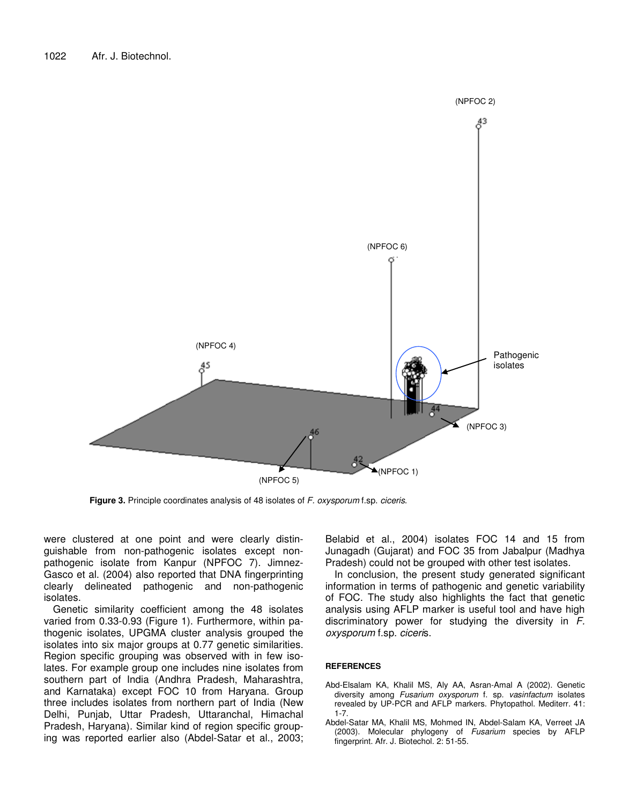

**Figure 3.** Principle coordinates analysis of 48 isolates of *F. oxysporum* f.sp. *ciceris*.

were clustered at one point and were clearly distinguishable from non-pathogenic isolates except nonpathogenic isolate from Kanpur (NPFOC 7). Jimnez-Gasco et al. (2004) also reported that DNA fingerprinting clearly delineated pathogenic and non-pathogenic isolates.

Genetic similarity coefficient among the 48 isolates varied from 0.33-0.93 (Figure 1). Furthermore, within pathogenic isolates, UPGMA cluster analysis grouped the isolates into six major groups at 0.77 genetic similarities. Region specific grouping was observed with in few isolates. For example group one includes nine isolates from southern part of India (Andhra Pradesh, Maharashtra, and Karnataka) except FOC 10 from Haryana. Group three includes isolates from northern part of India (New Delhi, Punjab, Uttar Pradesh, Uttaranchal, Himachal Pradesh, Haryana). Similar kind of region specific grouping was reported earlier also (Abdel-Satar et al., 2003; Belabid et al., 2004) isolates FOC 14 and 15 from Junagadh (Gujarat) and FOC 35 from Jabalpur (Madhya Pradesh) could not be grouped with other test isolates.

In conclusion, the present study generated significant information in terms of pathogenic and genetic variability of FOC. The study also highlights the fact that genetic analysis using AFLP marker is useful tool and have high discriminatory power for studying the diversity in *F. oxysporum* f.sp. *ciceri*s.

## **REFERENCES**

- Abd-Elsalam KA, Khalil MS, Aly AA, Asran-Amal A (2002). Genetic diversity among *Fusarium oxysporum* f. sp*. vasinfactum* isolates revealed by UP-PCR and AFLP markers. Phytopathol. Mediterr*.* 41: 1-7.
- Abdel-Satar MA, Khalil MS, Mohmed IN, Abdel-Salam KA, Verreet JA (2003). Molecular phylogeny of *Fusarium* species by AFLP fingerprint. Afr. J. Biotechol. 2: 51-55.